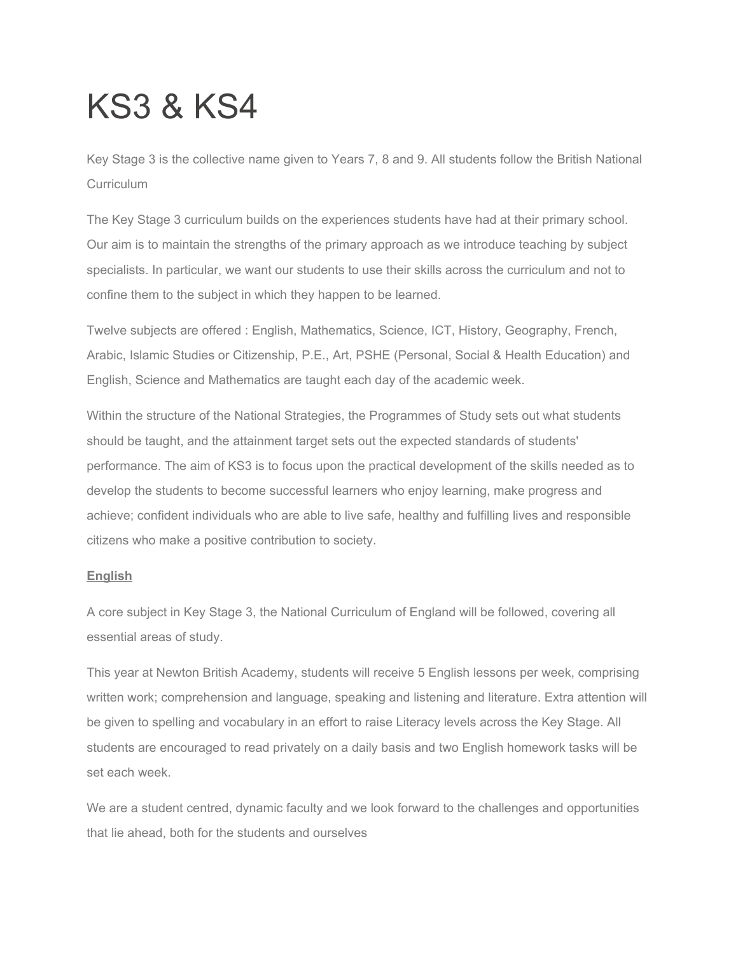# KS3 & KS4

Key Stage 3 is the collective name given to Years 7, 8 and 9. All students follow the British National **Curriculum** 

The Key Stage 3 curriculum builds on the experiences students have had at their primary school. Our aim is to maintain the strengths of the primary approach as we introduce teaching by subject specialists. In particular, we want our students to use their skills across the curriculum and not to confine them to the subject in which they happen to be learned.

Twelve subjects are offered : English, Mathematics, Science, ICT, History, Geography, French, Arabic, Islamic Studies or Citizenship, P.E., Art, PSHE (Personal, Social & Health Education) and English, Science and Mathematics are taught each day of the academic week.

Within the structure of the National Strategies, the Programmes of Study sets out what students should be taught, and the attainment target sets out the expected standards of students' performance. The aim of KS3 is to focus upon the practical development of the skills needed as to develop the students to become successful learners who enjoy learning, make progress and achieve; confident individuals who are able to live safe, healthy and fulfilling lives and responsible citizens who make a positive contribution to society.

## **English**

A core subject in Key Stage 3, the National Curriculum of England will be followed, covering all essential areas of study.

This year at Newton British Academy, students will receive 5 English lessons per week, comprising written work; comprehension and language, speaking and listening and literature. Extra attention will be given to spelling and vocabulary in an effort to raise Literacy levels across the Key Stage. All students are encouraged to read privately on a daily basis and two English homework tasks will be set each week.

We are a student centred, dynamic faculty and we look forward to the challenges and opportunities that lie ahead, both for the students and ourselves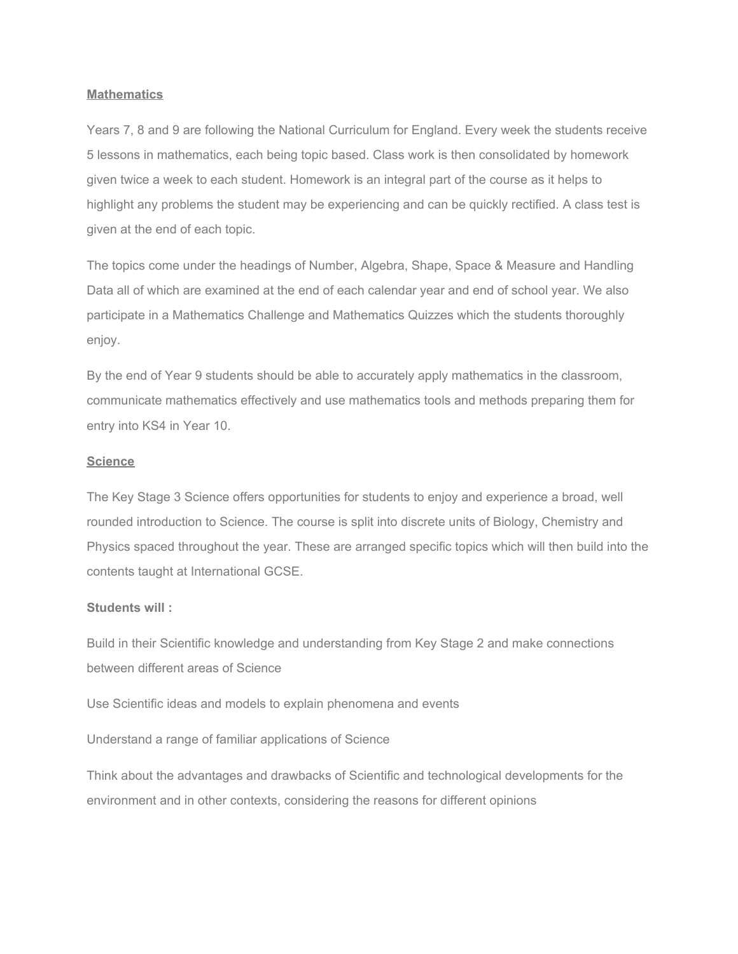## **Mathematics**

Years 7, 8 and 9 are following the National Curriculum for England. Every week the students receive 5 lessons in mathematics, each being topic based. Class work is then consolidated by homework given twice a week to each student. Homework is an integral part of the course as it helps to highlight any problems the student may be experiencing and can be quickly rectified. A class test is given at the end of each topic.

The topics come under the headings of Number, Algebra, Shape, Space & Measure and Handling Data all of which are examined at the end of each calendar year and end of school year. We also participate in a Mathematics Challenge and Mathematics Quizzes which the students thoroughly enjoy.

By the end of Year 9 students should be able to accurately apply mathematics in the classroom, communicate mathematics effectively and use mathematics tools and methods preparing them for entry into KS4 in Year 10.

#### **Science**

The Key Stage 3 Science offers opportunities for students to enjoy and experience a broad, well rounded introduction to Science. The course is split into discrete units of Biology, Chemistry and Physics spaced throughout the year. These are arranged specific topics which will then build into the contents taught at International GCSE.

#### **Students will :**

Build in their Scientific knowledge and understanding from Key Stage 2 and make connections between different areas of Science

Use Scientific ideas and models to explain phenomena and events

Understand a range of familiar applications of Science

Think about the advantages and drawbacks of Scientific and technological developments for the environment and in other contexts, considering the reasons for different opinions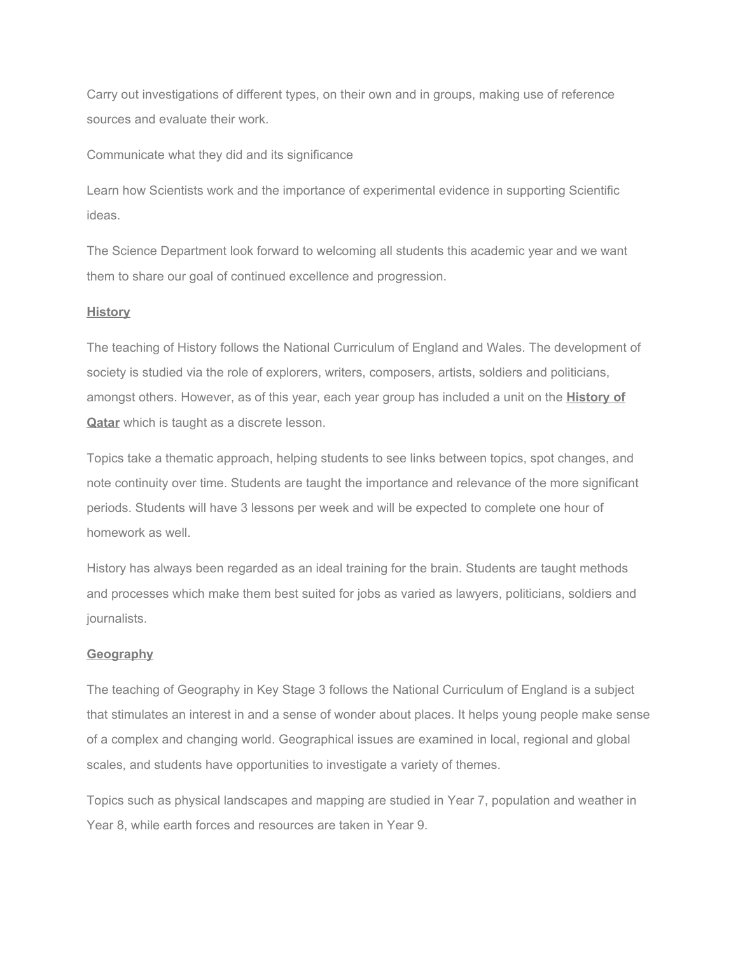Carry out investigations of different types, on their own and in groups, making use of reference sources and evaluate their work.

Communicate what they did and its significance

Learn how Scientists work and the importance of experimental evidence in supporting Scientific ideas.

The Science Department look forward to welcoming all students this academic year and we want them to share our goal of continued excellence and progression.

## **History**

The teaching of History follows the National Curriculum of England and Wales. The development of society is studied via the role of explorers, writers, composers, artists, soldiers and politicians, amongst others. However, as of this year, each year group has included a unit on the **History of Qatar** which is taught as a discrete lesson.

Topics take a thematic approach, helping students to see links between topics, spot changes, and note continuity over time. Students are taught the importance and relevance of the more significant periods. Students will have 3 lessons per week and will be expected to complete one hour of homework as well.

History has always been regarded as an ideal training for the brain. Students are taught methods and processes which make them best suited for jobs as varied as lawyers, politicians, soldiers and journalists.

## **Geography**

The teaching of Geography in Key Stage 3 follows the National Curriculum of England is a subject that stimulates an interest in and a sense of wonder about places. It helps young people make sense of a complex and changing world. Geographical issues are examined in local, regional and global scales, and students have opportunities to investigate a variety of themes.

Topics such as physical landscapes and mapping are studied in Year 7, population and weather in Year 8, while earth forces and resources are taken in Year 9.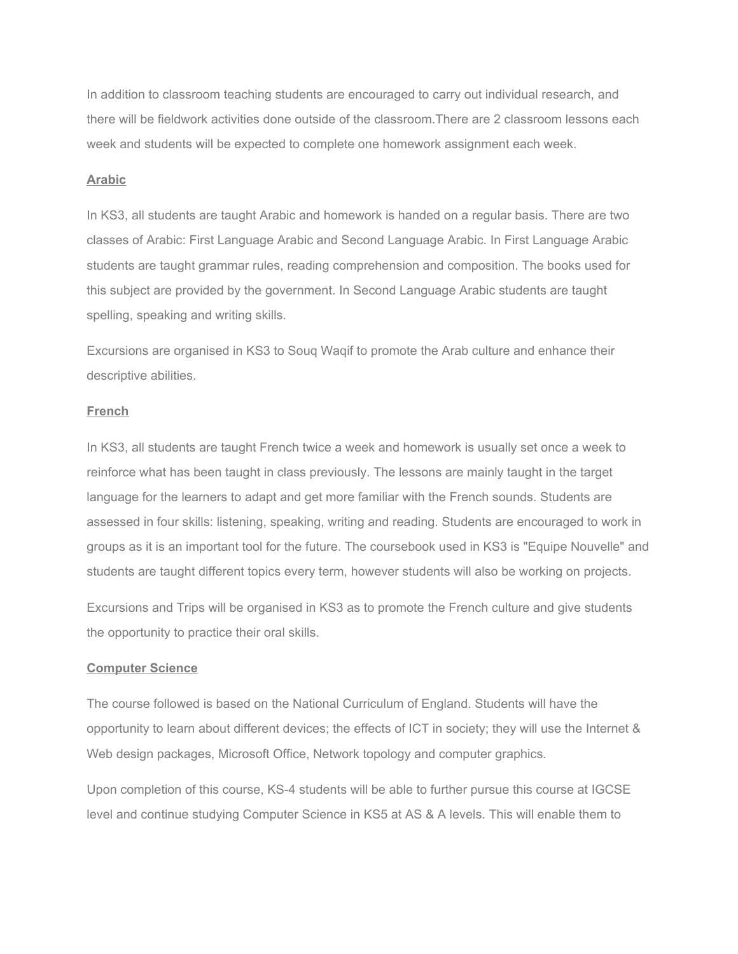In addition to classroom teaching students are encouraged to carry out individual research, and there will be fieldwork activities done outside of the classroom.There are 2 classroom lessons each week and students will be expected to complete one homework assignment each week.

#### **Arabic**

In KS3, all students are taught Arabic and homework is handed on a regular basis. There are two classes of Arabic: First Language Arabic and Second Language Arabic. In First Language Arabic students are taught grammar rules, reading comprehension and composition. The books used for this subject are provided by the government. In Second Language Arabic students are taught spelling, speaking and writing skills.

Excursions are organised in KS3 to Souq Waqif to promote the Arab culture and enhance their descriptive abilities.

## **French**

In KS3, all students are taught French twice a week and homework is usually set once a week to reinforce what has been taught in class previously. The lessons are mainly taught in the target language for the learners to adapt and get more familiar with the French sounds. Students are assessed in four skills: listening, speaking, writing and reading. Students are encouraged to work in groups as it is an important tool for the future. The coursebook used in KS3 is "Equipe Nouvelle" and students are taught different topics every term, however students will also be working on projects.

Excursions and Trips will be organised in KS3 as to promote the French culture and give students the opportunity to practice their oral skills.

#### **Computer Science**

The course followed is based on the National Curriculum of England. Students will have the opportunity to learn about different devices; the effects of ICT in society; they will use the Internet & Web design packages, Microsoft Office, Network topology and computer graphics.

Upon completion of this course, KS-4 students will be able to further pursue this course at IGCSE level and continue studying Computer Science in KS5 at AS & A levels. This will enable them to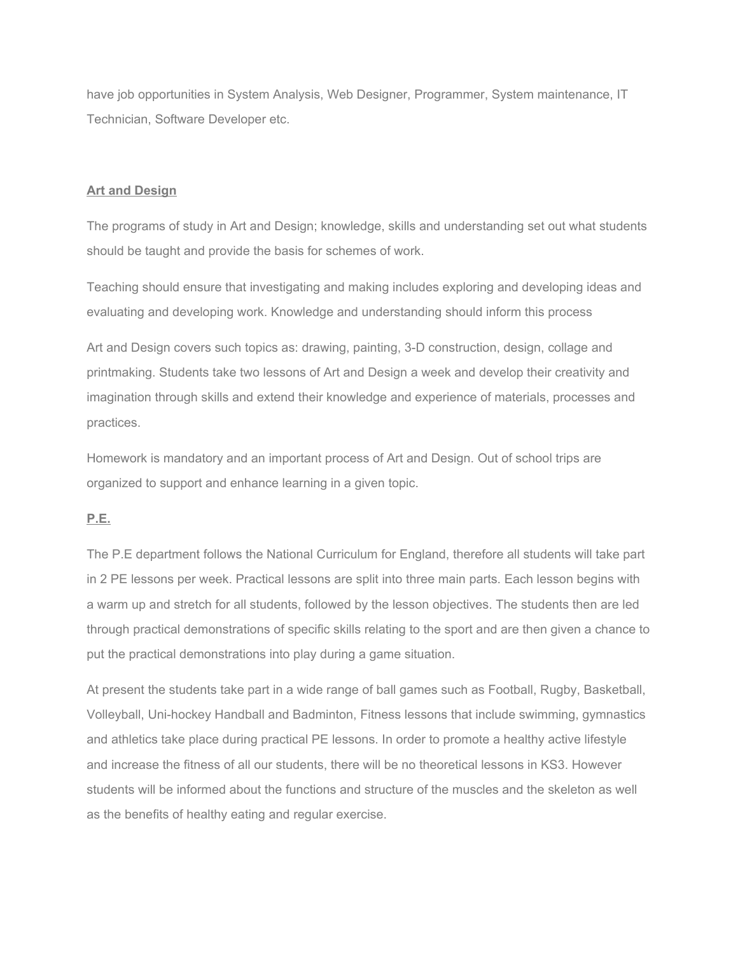have job opportunities in System Analysis, Web Designer, Programmer, System maintenance, IT Technician, Software Developer etc.

## **Art and Design**

The programs of study in Art and Design; knowledge, skills and understanding set out what students should be taught and provide the basis for schemes of work.

Teaching should ensure that investigating and making includes exploring and developing ideas and evaluating and developing work. Knowledge and understanding should inform this process

Art and Design covers such topics as: drawing, painting, 3-D construction, design, collage and printmaking. Students take two lessons of Art and Design a week and develop their creativity and imagination through skills and extend their knowledge and experience of materials, processes and practices.

Homework is mandatory and an important process of Art and Design. Out of school trips are organized to support and enhance learning in a given topic.

## **P.E.**

The P.E department follows the National Curriculum for England, therefore all students will take part in 2 PE lessons per week. Practical lessons are split into three main parts. Each lesson begins with a warm up and stretch for all students, followed by the lesson objectives. The students then are led through practical demonstrations of specific skills relating to the sport and are then given a chance to put the practical demonstrations into play during a game situation.

At present the students take part in a wide range of ball games such as Football, Rugby, Basketball, Volleyball, Uni-hockey Handball and Badminton, Fitness lessons that include swimming, gymnastics and athletics take place during practical PE lessons. In order to promote a healthy active lifestyle and increase the fitness of all our students, there will be no theoretical lessons in KS3. However students will be informed about the functions and structure of the muscles and the skeleton as well as the benefits of healthy eating and regular exercise.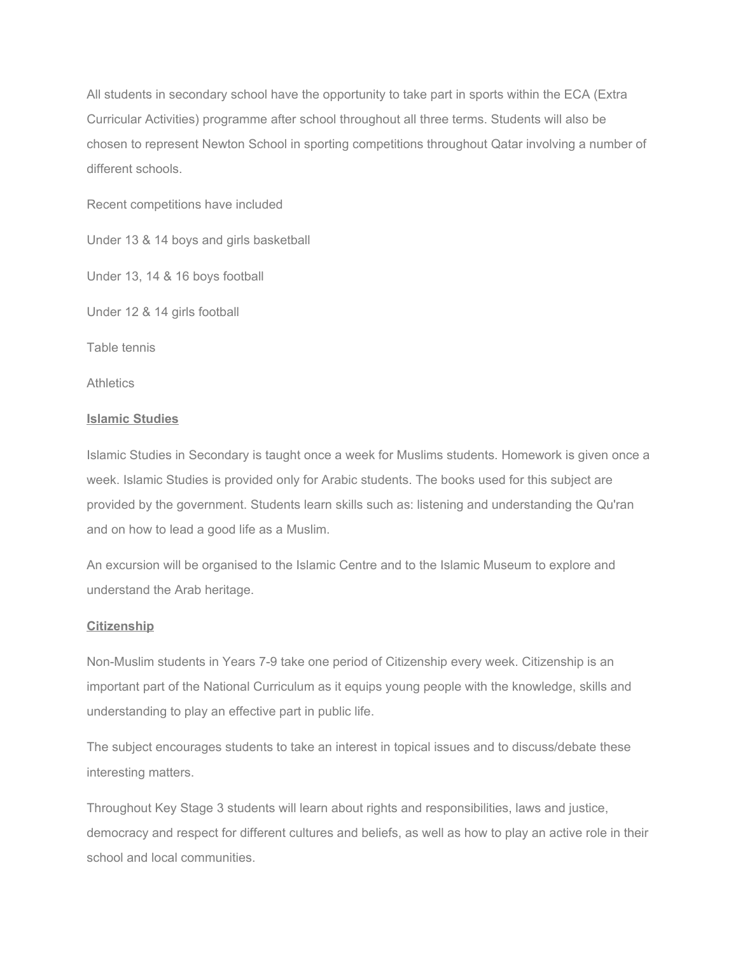All students in secondary school have the opportunity to take part in sports within the ECA (Extra Curricular Activities) programme after school throughout all three terms. Students will also be chosen to represent Newton School in sporting competitions throughout Qatar involving a number of different schools.

Recent competitions have included

Under 13 & 14 boys and girls basketball

Under 13, 14 & 16 boys football

Under 12 & 14 girls football

Table tennis

**Athletics** 

## **Islamic Studies**

Islamic Studies in Secondary is taught once a week for Muslims students. Homework is given once a week. Islamic Studies is provided only for Arabic students. The books used for this subject are provided by the government. Students learn skills such as: listening and understanding the Qu'ran and on how to lead a good life as a Muslim.

An excursion will be organised to the Islamic Centre and to the Islamic Museum to explore and understand the Arab heritage.

## **Citizenship**

Non-Muslim students in Years 7-9 take one period of Citizenship every week. Citizenship is an important part of the National Curriculum as it equips young people with the knowledge, skills and understanding to play an effective part in public life.

The subject encourages students to take an interest in topical issues and to discuss/debate these interesting matters.

Throughout Key Stage 3 students will learn about rights and responsibilities, laws and justice, democracy and respect for different cultures and beliefs, as well as how to play an active role in their school and local communities.